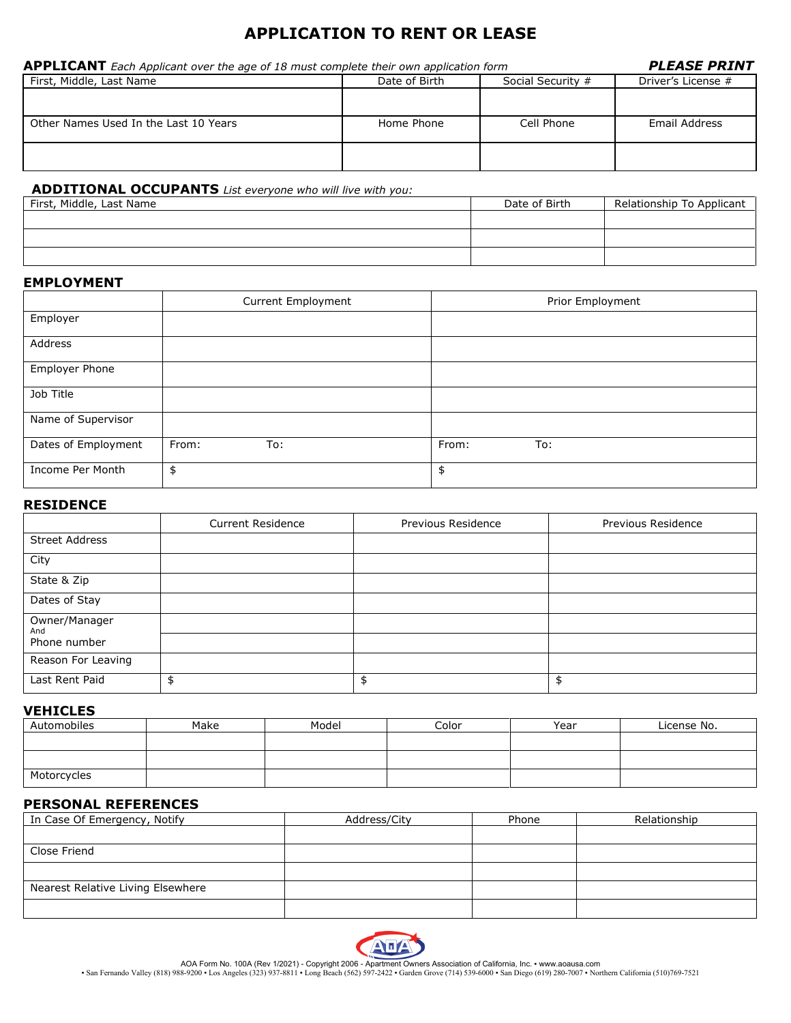# **APPLICATION TO RENT OR LEASE**

| <b>APPLICANT</b> Each Applicant over the age of 18 must complete their own application form | <b>PLEASE PRINT</b> |                   |                    |
|---------------------------------------------------------------------------------------------|---------------------|-------------------|--------------------|
| First, Middle, Last Name                                                                    | Date of Birth       | Social Security # | Driver's License # |
| Other Names Used In the Last 10 Years                                                       | Home Phone          | Cell Phone        | Email Address      |
|                                                                                             |                     |                   |                    |

# **ADDITIONAL OCCUPANTS** *List everyone who will live with you:*

| First, Middle, Last Name | Date of Birth | Relationship To Applicant |
|--------------------------|---------------|---------------------------|
|                          |               |                           |
|                          |               |                           |
|                          |               |                           |

### **EMPLOYMENT**

|                     | Current Employment | Prior Employment |
|---------------------|--------------------|------------------|
| Employer            |                    |                  |
| Address             |                    |                  |
| Employer Phone      |                    |                  |
| Job Title           |                    |                  |
| Name of Supervisor  |                    |                  |
| Dates of Employment | From:<br>To:       | From:<br>To:     |
| Income Per Month    | \$                 | \$               |

# **RESIDENCE**

|                       | <b>Current Residence</b> | Previous Residence | Previous Residence |
|-----------------------|--------------------------|--------------------|--------------------|
| <b>Street Address</b> |                          |                    |                    |
| City                  |                          |                    |                    |
| State & Zip           |                          |                    |                    |
| Dates of Stay         |                          |                    |                    |
| Owner/Manager<br>And  |                          |                    |                    |
| Phone number          |                          |                    |                    |
| Reason For Leaving    |                          |                    |                    |
| Last Rent Paid        |                          | \$                 | \$                 |

## **VEHICLES**

| Automobiles | Make | Model | Color | Year | License No. |
|-------------|------|-------|-------|------|-------------|
|             |      |       |       |      |             |
|             |      |       |       |      |             |
|             |      |       |       |      |             |
| Motorcycles |      |       |       |      |             |

# **PERSONAL REFERENCES**

| In Case Of Emergency, Notify      | Address/City | Phone | Relationship |
|-----------------------------------|--------------|-------|--------------|
|                                   |              |       |              |
| Close Friend                      |              |       |              |
|                                   |              |       |              |
| Nearest Relative Living Elsewhere |              |       |              |
|                                   |              |       |              |



AOA Form No. 100A (Rev 1/2021) - Copyright 2006 - Apartment Owners Association of California, Inc. • www.aoausa.com<br>San Fernando Valley (818) 988-9200 • Los Angeles (323) 937-8811 • Long Beach (562) 597-2422 • Garden Grove